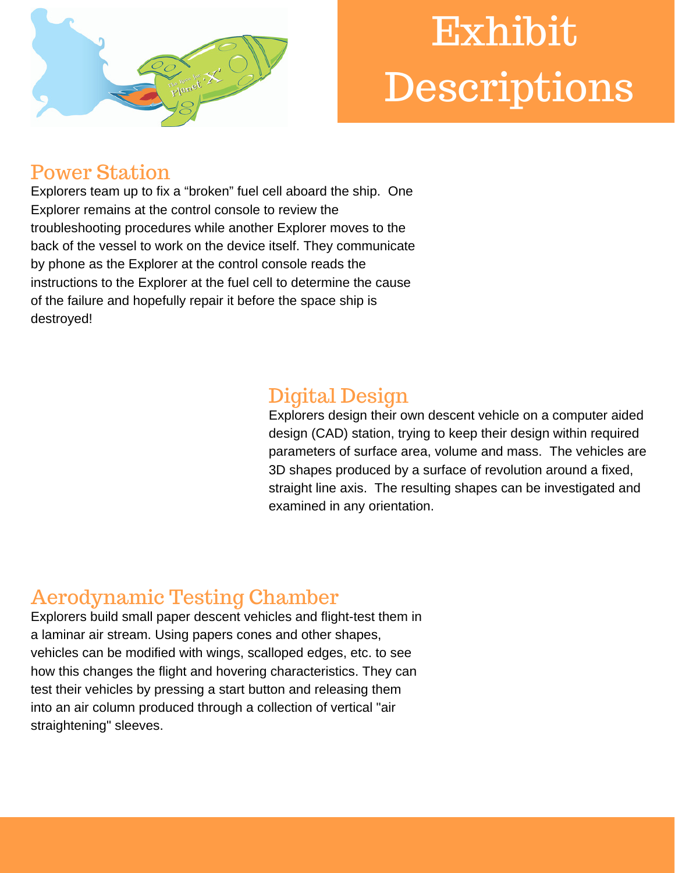

# Exhibit Descriptions

## Power Station

Explorers team up to fix a "broken" fuel cell aboard the ship. One Explorer remains at the control console to review the troubleshooting procedures while another Explorer moves to the back of the vessel to work on the device itself. They communicate by phone as the Explorer at the control console reads the instructions to the Explorer at the fuel cell to determine the cause of the failure and hopefully repair it before the space ship is destroyed!

# Digital Design

Explorers design their own descent vehicle on a computer aided design (CAD) station, trying to keep their design within required parameters of surface area, volume and mass. The vehicles are 3D shapes produced by a surface of revolution around a fixed, straight line axis. The resulting shapes can be investigated and examined in any orientation.

# Aerodynamic Testing Chamber

Explorers build small paper descent vehicles and flight-test them in a laminar air stream. Using papers cones and other shapes, vehicles can be modified with wings, scalloped edges, etc. to see how this changes the flight and hovering characteristics. They can test their vehicles by pressing a start button and releasing them into an air column produced through a collection of vertical "air straightening" sleeves.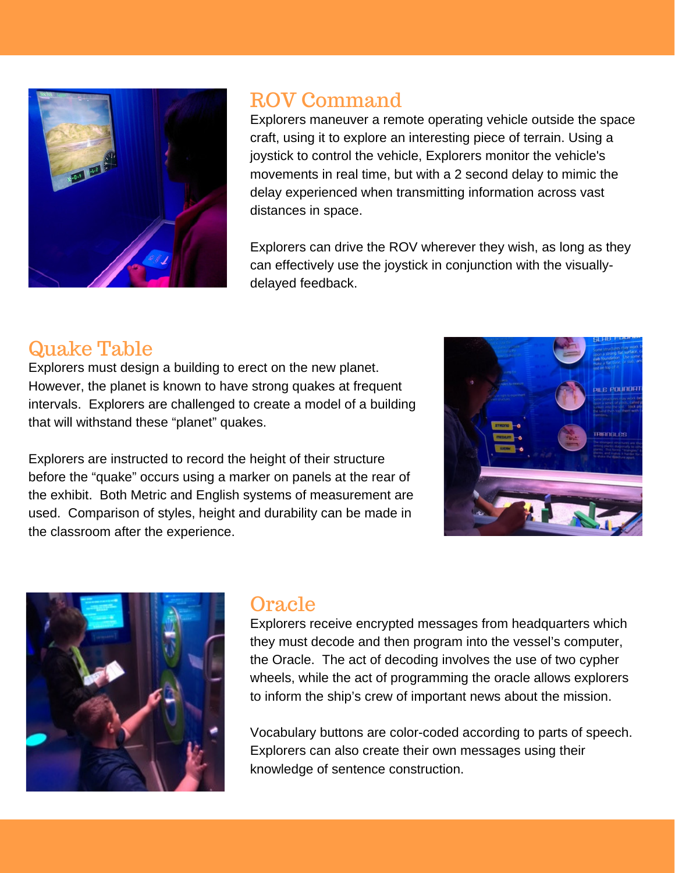

## ROV Command

Explorers maneuver a remote operating vehicle outside the space craft, using it to explore an interesting piece of terrain. Using a joystick to control the vehicle, Explorers monitor the vehicle's movements in real time, but with a 2 second delay to mimic the delay experienced when transmitting information across vast distances in space.

Explorers can drive the ROV wherever they wish, as long as they can effectively use the joystick in conjunction with the visuallydelayed feedback.

## Quake Table

Explorers must design a building to erect on the new planet. However, the planet is known to have strong quakes at frequent intervals. Explorers are challenged to create a model of a building that will withstand these "planet" quakes.

Explorers are instructed to record the height of their structure before the "quake" occurs using a marker on panels at the rear of the exhibit. Both Metric and English systems of measurement are used. Comparison of styles, height and durability can be made in the classroom after the experience.





#### Oracle

Explorers receive encrypted messages from headquarters which they must decode and then program into the vessel's computer, the Oracle. The act of decoding involves the use of two cypher wheels, while the act of programming the oracle allows explorers to inform the ship's crew of important news about the mission.

Vocabulary buttons are color-coded according to parts of speech. Explorers can also create their own messages using their knowledge of sentence construction.